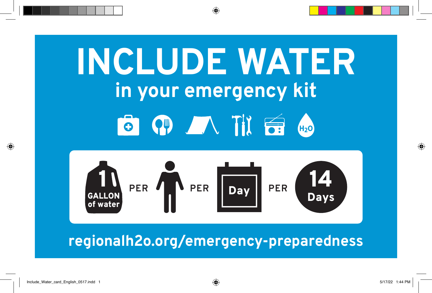# **INCLUDE WATER in your emergency kit** 8 9 1 1 6 4



# **regionalh2o.org/emergency-preparedness**